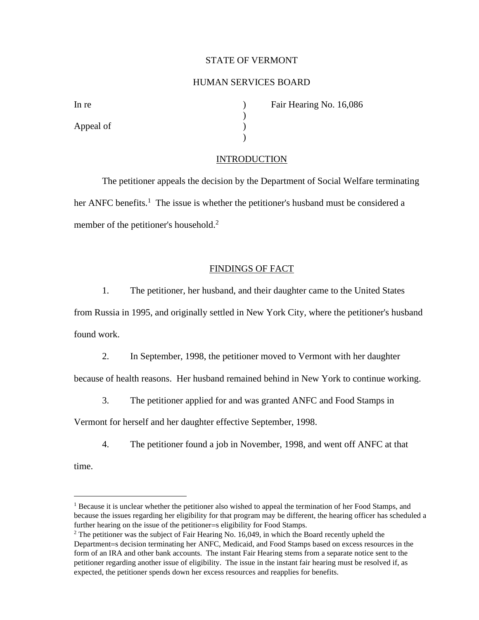## STATE OF VERMONT

# HUMAN SERVICES BOARD

)

)

| In re     |  |
|-----------|--|
|           |  |
| Appeal of |  |
|           |  |

In Fair Hearing No. 16,086

### INTRODUCTION

The petitioner appeals the decision by the Department of Social Welfare terminating her ANFC benefits.<sup>1</sup> The issue is whether the petitioner's husband must be considered a member of the petitioner's household.<sup>2</sup>

## FINDINGS OF FACT

1. The petitioner, her husband, and their daughter came to the United States

from Russia in 1995, and originally settled in New York City, where the petitioner's husband found work.

2. In September, 1998, the petitioner moved to Vermont with her daughter

because of health reasons. Her husband remained behind in New York to continue working.

3. The petitioner applied for and was granted ANFC and Food Stamps in

Vermont for herself and her daughter effective September, 1998.

4. The petitioner found a job in November, 1998, and went off ANFC at that

time.

<sup>&</sup>lt;sup>1</sup> Because it is unclear whether the petitioner also wished to appeal the termination of her Food Stamps, and because the issues regarding her eligibility for that program may be different, the hearing officer has scheduled a further hearing on the issue of the petitioner=s eligibility for Food Stamps.

<sup>&</sup>lt;sup>2</sup> The petitioner was the subject of Fair Hearing No. 16,049, in which the Board recently upheld the Department=s decision terminating her ANFC, Medicaid, and Food Stamps based on excess resources in the form of an IRA and other bank accounts. The instant Fair Hearing stems from a separate notice sent to the petitioner regarding another issue of eligibility. The issue in the instant fair hearing must be resolved if, as expected, the petitioner spends down her excess resources and reapplies for benefits.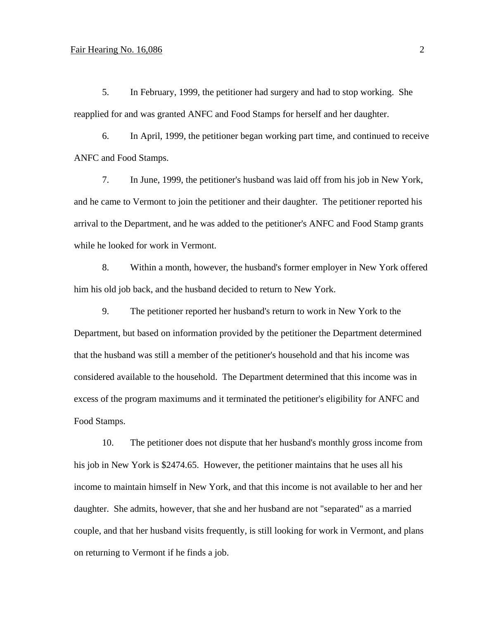### Fair Hearing No. 16,086 2

5. In February, 1999, the petitioner had surgery and had to stop working. She reapplied for and was granted ANFC and Food Stamps for herself and her daughter.

6. In April, 1999, the petitioner began working part time, and continued to receive ANFC and Food Stamps.

7. In June, 1999, the petitioner's husband was laid off from his job in New York, and he came to Vermont to join the petitioner and their daughter. The petitioner reported his arrival to the Department, and he was added to the petitioner's ANFC and Food Stamp grants while he looked for work in Vermont.

8. Within a month, however, the husband's former employer in New York offered him his old job back, and the husband decided to return to New York.

9. The petitioner reported her husband's return to work in New York to the Department, but based on information provided by the petitioner the Department determined that the husband was still a member of the petitioner's household and that his income was considered available to the household. The Department determined that this income was in excess of the program maximums and it terminated the petitioner's eligibility for ANFC and Food Stamps.

10. The petitioner does not dispute that her husband's monthly gross income from his job in New York is \$2474.65. However, the petitioner maintains that he uses all his income to maintain himself in New York, and that this income is not available to her and her daughter. She admits, however, that she and her husband are not "separated" as a married couple, and that her husband visits frequently, is still looking for work in Vermont, and plans on returning to Vermont if he finds a job.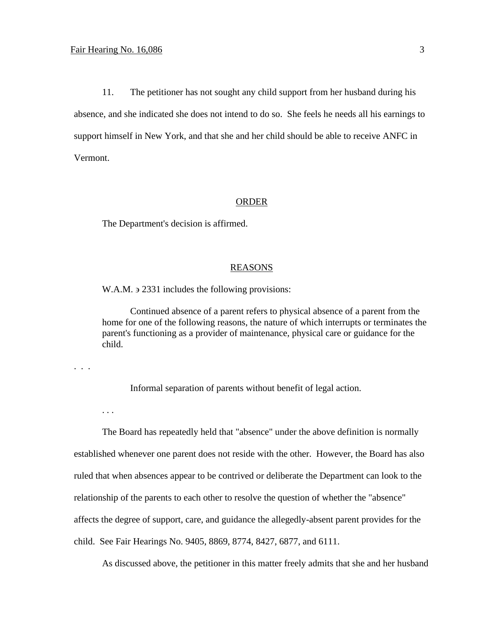. . .

. . .

11. The petitioner has not sought any child support from her husband during his absence, and she indicated she does not intend to do so. She feels he needs all his earnings to support himself in New York, and that she and her child should be able to receive ANFC in Vermont.

#### ORDER

The Department's decision is affirmed.

### REASONS

W.A.M.  $\geq$  2331 includes the following provisions:

Continued absence of a parent refers to physical absence of a parent from the home for one of the following reasons, the nature of which interrupts or terminates the parent's functioning as a provider of maintenance, physical care or guidance for the child.

Informal separation of parents without benefit of legal action.

The Board has repeatedly held that "absence" under the above definition is normally established whenever one parent does not reside with the other. However, the Board has also ruled that when absences appear to be contrived or deliberate the Department can look to the relationship of the parents to each other to resolve the question of whether the "absence" affects the degree of support, care, and guidance the allegedly-absent parent provides for the child. See Fair Hearings No. 9405, 8869, 8774, 8427, 6877, and 6111.

As discussed above, the petitioner in this matter freely admits that she and her husband